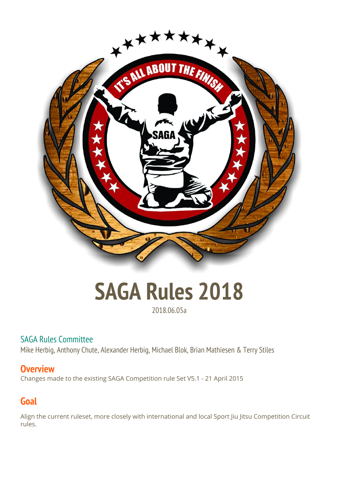

# **SAGA Rules 2018**

## 2018.06.05a

## SAGA Rules Committee

Mike Herbig, Anthony Chute, Alexander Herbig, Michael Blok, Brian Mathiesen & Terry Stiles

## **Overview**

Changes made to the existing SAGA Competition rule Set V5.1 - 21 April 2015

# **Goal**

Align the current ruleset, more closely with international and local Sport Jiu Jitsu Competition Circuit rules.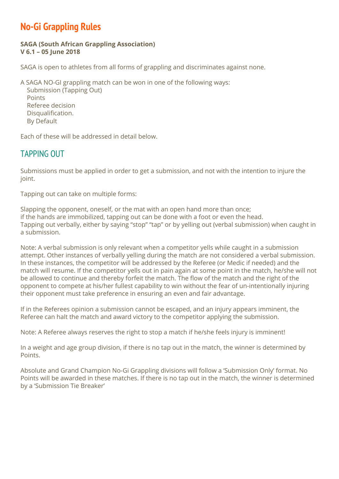## **No-Gi Grappling Rules**

#### **SAGA (South African Grappling Association) V 6.1 – 05 June 2018**

SAGA is open to athletes from all forms of grappling and discriminates against none.

A SAGA NO-GI grappling match can be won in one of the following ways:

Submission (Tapping Out) Points Referee decision Disqualification. By Default

Each of these will be addressed in detail below.

## TAPPING OUT

Submissions must be applied in order to get a submission, and not with the intention to injure the joint.

Tapping out can take on multiple forms:

Slapping the opponent, oneself, or the mat with an open hand more than once; if the hands are immobilized, tapping out can be done with a foot or even the head. Tapping out verbally, either by saying "stop" "tap" or by yelling out (verbal submission) when caught in a submission.

Note: A verbal submission is only relevant when a competitor yells while caught in a submission attempt. Other instances of verbally yelling during the match are not considered a verbal submission. In these instances, the competitor will be addressed by the Referee (or Medic if needed) and the match will resume. If the competitor yells out in pain again at some point in the match, he/she will not be allowed to continue and thereby forfeit the match. The flow of the match and the right of the opponent to compete at his/her fullest capability to win without the fear of un-intentionally injuring their opponent must take preference in ensuring an even and fair advantage.

If in the Referees opinion a submission cannot be escaped, and an injury appears imminent, the Referee can halt the match and award victory to the competitor applying the submission.

Note: A Referee always reserves the right to stop a match if he/she feels injury is imminent!

In a weight and age group division, if there is no tap out in the match, the winner is determined by Points.

Absolute and Grand Champion No-Gi Grappling divisions will follow a 'Submission Only' format. No Points will be awarded in these matches. If there is no tap out in the match, the winner is determined by a 'Submission Tie Breaker'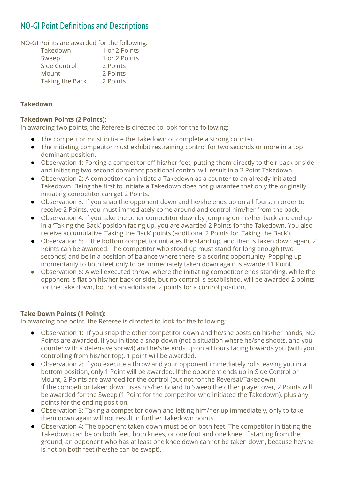## NO-GI Point Definitions and Descriptions

NO-GI Points are awarded for the following:

| Takedown        | 1 or 2 Points |
|-----------------|---------------|
| Sweep           | 1 or 2 Points |
| Side Control    | 2 Points      |
| Mount           | 2 Points      |
| Taking the Back | 2 Points      |

#### **Takedown**

#### **Takedown Points (2 Points):**

In awarding two points, the Referee is directed to look for the following;

- The competitor must initiate the Takedown or complete a strong counter
- The initiating competitor must exhibit restraining control for two seconds or more in a top dominant position.
- Observation 1: Forcing a competitor off his/her feet, putting them directly to their back or side and initiating two second dominant positional control will result in a 2 Point Takedown.
- Observation 2: A competitor can initiate a Takedown as a counter to an already initiated Takedown. Being the first to initiate a Takedown does not guarantee that only the originally initiating competitor can get 2 Points.
- Observation 3: If you snap the opponent down and he/she ends up on all fours, in order to receive 2 Points, you must immediately come around and control him/her from the back.
- Observation 4: If you take the other competitor down by jumping on his/her back and end up in a 'Taking the Back' position facing up, you are awarded 2 Points for the Takedown. You also receive accumulative 'Taking the Back' points (additional 2 Points for 'Taking the Back').
- Observation 5: If the bottom competitor initiates the stand up, and then is taken down again, 2 Points can be awarded. The competitor who stood up must stand for long enough (two seconds) and be in a position of balance where there is a scoring opportunity. Popping up momentarily to both feet only to be immediately taken down again is awarded 1 Point.
- Observation 6: A well executed throw, where the initiating competitor ends standing, while the opponent is flat on his/her back or side, but no control is established, will be awarded 2 points for the take down, bot not an additional 2 points for a control position.

#### **Take Down Points (1 Point):**

In awarding one point, the Referee is directed to look for the following;

- Observation 1: If you snap the other competitor down and he/she posts on his/her hands, NO Points are awarded. If you initiate a snap down (not a situation where he/she shoots, and you counter with a defensive sprawl) and he/she ends up on all fours facing towards you (with you controlling from his/her top), 1 point will be awarded.
- Observation 2: If you execute a throw and your opponent immediately rolls leaving you in a bottom position, only 1 Point will be awarded. If the opponent ends up in Side Control or Mount, 2 Points are awarded for the control (but not for the Reversal/Takedown). If the competitor taken down uses his/her Guard to Sweep the other player over, 2 Points will be awarded for the Sweep (1 Point for the competitor who initiated the Takedown), plus any points for the ending position.
- Observation 3: Taking a competitor down and letting him/her up immediately, only to take them down again will not result in further Takedown points.
- Observation 4: The opponent taken down must be on both feet. The competitor initiating the Takedown can be on both feet, both knees, or one foot and one knee. If starting from the ground, an opponent who has at least one knee down cannot be taken down, because he/she is not on both feet (he/she can be swept).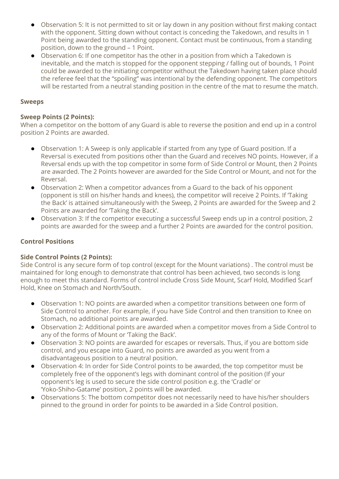- Observation 5: It is not permitted to sit or lay down in any position without first making contact with the opponent. Sitting down without contact is conceding the Takedown, and results in 1 Point being awarded to the standing opponent. Contact must be continuous, from a standing position, down to the ground – 1 Point.
- **●** Observation 6: If one competitor has the other in a position from which a Takedown is inevitable, and the match is stopped for the opponent stepping / falling out of bounds, 1 Point could be awarded to the initiating competitor without the Takedown having taken place should the referee feel that the "spoiling" was intentional by the defending opponent. The competitors will be restarted from a neutral standing position in the centre of the mat to resume the match.

#### **Sweeps**

#### **Sweep Points (2 Points):**

When a competitor on the bottom of any Guard is able to reverse the position and end up in a control position 2 Points are awarded.

- Observation 1: A Sweep is only applicable if started from any type of Guard position. If a Reversal is executed from positions other than the Guard and receives NO points. However, if a Reversal ends up with the top competitor in some form of Side Control or Mount, then 2 Points are awarded. The 2 Points however are awarded for the Side Control or Mount, and not for the Reversal.
- Observation 2: When a competitor advances from a Guard to the back of his opponent (opponent is still on his/her hands and knees), the competitor will receive 2 Points. If 'Taking the Back' is attained simultaneously with the Sweep, 2 Points are awarded for the Sweep and 2 Points are awarded for 'Taking the Back'.
- Observation 3: If the competitor executing a successful Sweep ends up in a control position, 2 points are awarded for the sweep and a further 2 Points are awarded for the control position.

#### **Control Positions**

#### **Side Control Points (2 Points):**

Side Control is any secure form of top control (except for the Mount variations) . The control must be maintained for long enough to demonstrate that control has been achieved, two seconds is long enough to meet this standard. Forms of control include Cross Side Mount, Scarf Hold, Modified Scarf Hold, Knee on Stomach and North/South.

- Observation 1: NO points are awarded when a competitor transitions between one form of Side Control to another. For example, if you have Side Control and then transition to Knee on Stomach, no additional points are awarded.
- Observation 2: Additional points are awarded when a competitor moves from a Side Control to any of the forms of Mount or 'Taking the Back'.
- Observation 3: NO points are awarded for escapes or reversals. Thus, if you are bottom side control, and you escape into Guard, no points are awarded as you went from a disadvantageous position to a neutral position.
- Observation 4: In order for Side Control points to be awarded, the top competitor must be completely free of the opponent's legs with dominant control of the position (If your opponent's leg is used to secure the side control position e.g. the 'Cradle' or 'Yoko-Shiho-Gatame' position, 2 points will be awarded.
- Observations 5: The bottom competitor does not necessarily need to have his/her shoulders pinned to the ground in order for points to be awarded in a Side Control position.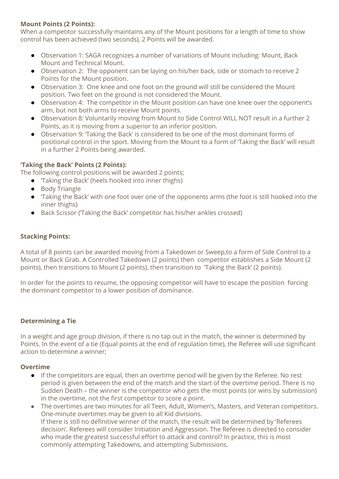#### **Mount Points (2 Points):**

When a competitor successfully maintains any of the Mount positions for a length of time to show control has been achieved (two seconds), 2 Points will be awarded.

- Observation 1: SAGA recognizes a number of variations of Mount including: Mount, Back Mount and Technical Mount.
- Observation 2: The opponent can be laying on his/her back, side or stomach to receive 2 Points for the Mount position.
- Observation 3: One knee and one foot on the ground will still be considered the Mount position. Two feet on the ground is not considered the Mount.
- Observation 4: The competitor in the Mount position can have one knee over the opponent's arm, but not both arms to receive Mount points.
- Observation 8: Voluntarily moving from Mount to Side Control WILL NOT result in a further 2 Points, as it is moving from a superior to an inferior position.
- Observation 9: 'Taking the Back' is considered to be one of the most dominant forms of positional control in the sport. Moving from the Mount to a form of 'Taking the Back' will result in a further 2 Points being awarded.

#### **'Taking the Back' Points (2 Points):**

The following control positions will be awarded 2 points;

- 'Taking the Back' (heels hooked into inner thighs)
- Body Triangle
- 'Taking the Back' with one foot over one of the opponents arms (the foot is still hooked into the inner thighs)
- Back Scissor ('Taking the Back' competitor has his/her ankles crossed)

#### **Stacking Points:**

A total of 8 points can be awarded moving from a Takedown or Sweep,to a form of Side Control to a Mount or Back Grab. A Controlled Takedown (2 points) then competitor establishes a Side Mount (2 points), then transitions to Mount (2 points), then transition to 'Taking the Back' (2 points).

In order for the points to resume, the opposing competitor will have to escape the position forcing the dominant competitor to a lower position of dominance.

#### **Determining a Tie**

In a weight and age group division, if there is no tap out in the match, the winner is determined by Points. In the event of a tie (Equal points at the end of regulation time), the Referee will use significant action to determine a winner;

#### **Overtime**

- If the competitors are equal, then an overtime period will be given by the Referee. No rest period is given between the end of the match and the start of the overtime period. There is no Sudden Death – the winner is the competitor who gets the most points (or wins by submission) in the overtime, not the first competitor to score a point.
- The overtimes are two minutes for all Teen, Adult, Women's, Masters, and Veteran competitors. One-minute overtimes may be given to all Kid divisions. If there is still no definitive winner of the match, the result will be determined by 'Referees decision'. Referees will consider Initiation and Aggression. The Referee is directed to consider who made the greatest successful effort to attack and control? In practice, this is most commonly attempting Takedowns, and attempting Submissions.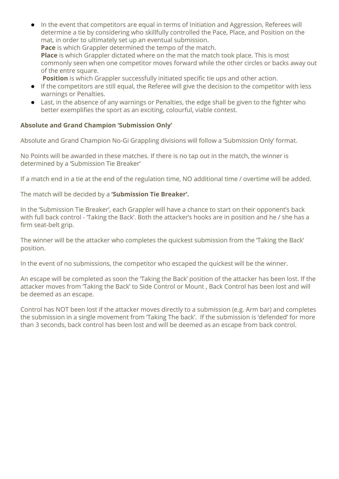**●** In the event that competitors are equal in terms of Initiation and Aggression, Referees will determine a tie by considering who skillfully controlled the Pace, Place, and Position on the mat, in order to ultimately set up an eventual submission.

**Pace** is which Grappler determined the tempo of the match. **Place** is which Grappler dictated where on the mat the match took place. This is most

commonly seen when one competitor moves forward while the other circles or backs away out of the entre square.

**Position** is which Grappler successfully initiated specific tie ups and other action.

- **●** If the competitors are still equal, the Referee will give the decision to the competitor with less warnings or Penalties.
- **●** Last, in the absence of any warnings or Penalties, the edge shall be given to the fighter who better exemplifies the sport as an exciting, colourful, viable contest.

#### **Absolute and Grand Champion 'Submission Only'**

Absolute and Grand Champion No-Gi Grappling divisions will follow a 'Submission Only' format.

No Points will be awarded in these matches. If there is no tap out in the match, the winner is determined by a 'Submission Tie Breaker'

If a match end in a tie at the end of the regulation time, NO additional time / overtime will be added.

The match will be decided by a **'Submission Tie Breaker'.**

In the 'Submission Tie Breaker', each Grappler will have a chance to start on their opponent's back with full back control - 'Taking the Back'. Both the attacker's hooks are in position and he / she has a firm seat-belt grip.

The winner will be the attacker who completes the quickest submission from the 'Taking the Back' position.

In the event of no submissions, the competitor who escaped the quickest will be the winner.

An escape will be completed as soon the 'Taking the Back' position of the attacker has been lost. If the attacker moves from 'Taking the Back' to Side Control or Mount , Back Control has been lost and will be deemed as an escape.

Control has NOT been lost if the attacker moves directly to a submission (e.g. Arm bar) and completes the submission in a single movement from 'Taking The back'. If the submission is 'defended' for more than 3 seconds, back control has been lost and will be deemed as an escape from back control.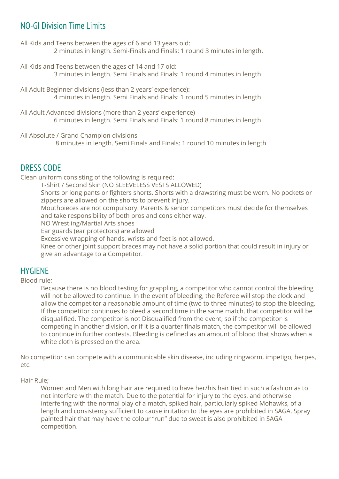## NO-GI Division Time Limits

All Kids and Teens between the ages of 6 and 13 years old: 2 minutes in length. Semi-Finals and Finals: 1 round 3 minutes in length.

All Kids and Teens between the ages of 14 and 17 old: 3 minutes in length. Semi Finals and Finals: 1 round 4 minutes in length

All Adult Beginner divisions (less than 2 years' experience): 4 minutes in length. Semi Finals and Finals: 1 round 5 minutes in length

All Adult Advanced divisions (more than 2 years' experience) 6 minutes in length. Semi Finals and Finals: 1 round 8 minutes in length

All Absolute / Grand Champion divisions

8 minutes in length. Semi Finals and Finals: 1 round 10 minutes in length

## DRESS CODE

Clean uniform consisting of the following is required:

T-Shirt / Second Skin (NO SLEEVELESS VESTS ALLOWED)

Shorts or long pants or fighters shorts. Shorts with a drawstring must be worn. No pockets or zippers are allowed on the shorts to prevent injury.

Mouthpieces are not compulsory. Parents & senior competitors must decide for themselves and take responsibility of both pros and cons either way.

NO Wrestling/Martial Arts shoes

Ear guards (ear protectors) are allowed

Excessive wrapping of hands, wrists and feet is not allowed.

Knee or other joint support braces may not have a solid portion that could result in injury or give an advantage to a Competitor.

## HYGIENE

Blood rule;

Because there is no blood testing for grappling, a competitor who cannot control the bleeding will not be allowed to continue. In the event of bleeding, the Referee will stop the clock and allow the competitor a reasonable amount of time (two to three minutes) to stop the bleeding. If the competitor continues to bleed a second time in the same match, that competitor will be disqualified. The competitor is not Disqualified from the event, so if the competitor is competing in another division, or if it is a quarter finals match, the competitor will be allowed to continue in further contests. Bleeding is defined as an amount of blood that shows when a white cloth is pressed on the area.

No competitor can compete with a communicable skin disease, including ringworm, impetigo, herpes, etc.

Hair Rule;

Women and Men with long hair are required to have her/his hair tied in such a fashion as to not interfere with the match. Due to the potential for injury to the eyes, and otherwise interfering with the normal play of a match, spiked hair, particularly spiked Mohawks, of a length and consistency sufficient to cause irritation to the eyes are prohibited in SAGA. Spray painted hair that may have the colour "run" due to sweat is also prohibited in SAGA competition.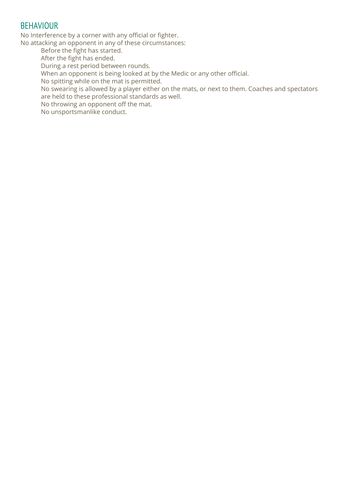## BEHAVIOUR

No Interference by a corner with any official or fighter.

No attacking an opponent in any of these circumstances:

Before the fight has started.

After the fight has ended.

During a rest period between rounds.

When an opponent is being looked at by the Medic or any other official.

No spitting while on the mat is permitted.

No swearing is allowed by a player either on the mats, or next to them. Coaches and spectators are held to these professional standards as well.

No throwing an opponent off the mat.

No unsportsmanlike conduct.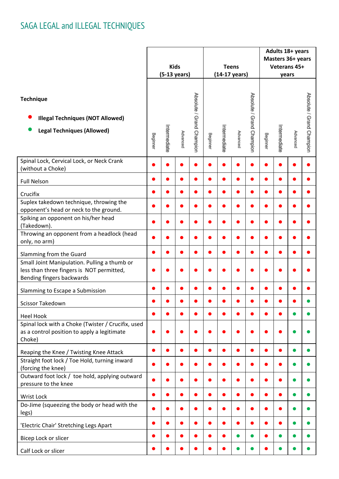|                                                                                                                                 | <b>Kids</b><br>$(5-13 \text{ years})$ |              |          |                           | <b>Teens</b><br>$(14-17 \text{ years})$ |              |          | Adults 18+ years<br>Masters 36+ years<br>Veterans 45+<br>years |          |              |          |                           |
|---------------------------------------------------------------------------------------------------------------------------------|---------------------------------------|--------------|----------|---------------------------|-----------------------------------------|--------------|----------|----------------------------------------------------------------|----------|--------------|----------|---------------------------|
| <b>Technique</b><br><b>Illegal Techniques (NOT Allowed)</b><br><b>Legal Techniques (Allowed)</b>                                | Beginner                              | Intermediate | Advanced | Absolute / Grand Champion | Beginner                                | Intermediate | Advanced | Absolute / Grand Champion                                      | Beginner | Intermediate | Advanced | Absolute / Grand Champion |
| Spinal Lock, Cervical Lock, or Neck Crank<br>(without a Choke)                                                                  |                                       |              |          |                           |                                         |              |          |                                                                |          |              |          |                           |
| <b>Full Nelson</b>                                                                                                              |                                       |              |          |                           |                                         |              |          |                                                                |          |              |          |                           |
| Crucifix                                                                                                                        |                                       |              |          |                           |                                         |              |          |                                                                |          |              |          |                           |
| Suplex takedown technique, throwing the<br>opponent's head or neck to the ground.                                               |                                       |              |          |                           |                                         |              |          |                                                                |          |              |          |                           |
| Spiking an opponent on his/her head<br>(Takedown).                                                                              |                                       |              |          |                           |                                         |              |          |                                                                |          |              |          |                           |
| Throwing an opponent from a headlock (head<br>only, no arm)                                                                     |                                       |              |          |                           |                                         |              |          |                                                                |          |              |          |                           |
| Slamming from the Guard                                                                                                         |                                       |              |          |                           |                                         |              |          |                                                                |          |              |          |                           |
| Small Joint Manipulation. Pulling a thumb or<br>less than three fingers is NOT permitted,<br>Bending fingers backwards          |                                       |              |          |                           |                                         |              |          |                                                                |          |              |          |                           |
| Slamming to Escape a Submission                                                                                                 |                                       |              |          |                           |                                         |              |          |                                                                |          |              |          |                           |
| Scissor Takedown                                                                                                                |                                       |              |          |                           |                                         |              |          |                                                                |          |              |          |                           |
| <b>Heel Hook</b><br>Spinal lock with a Choke (Twister / Crucifix, used<br>as a control position to apply a legitimate<br>Choke) |                                       |              |          |                           |                                         |              |          |                                                                |          |              |          |                           |
| Reaping the Knee / Twisting Knee Attack                                                                                         | $\bullet$                             |              |          |                           |                                         |              |          |                                                                |          |              |          |                           |
| Straight foot lock / Toe Hold, turning inward<br>(forcing the knee)                                                             |                                       |              |          |                           |                                         |              |          |                                                                |          |              |          |                           |
| Outward foot lock / toe hold, applying outward<br>pressure to the knee                                                          |                                       |              |          |                           |                                         |              |          |                                                                |          |              |          |                           |
| Wrist Lock                                                                                                                      | $\bullet$                             |              |          |                           |                                         |              |          |                                                                |          |              |          |                           |
| Do-Jime (squeezing the body or head with the<br>legs)                                                                           |                                       |              |          |                           |                                         |              |          |                                                                |          |              |          |                           |
| 'Electric Chair' Stretching Legs Apart                                                                                          |                                       |              |          |                           |                                         |              |          |                                                                |          |              |          |                           |
| Bicep Lock or slicer                                                                                                            |                                       |              |          |                           |                                         |              |          |                                                                |          |              |          |                           |
| Calf Lock or slicer                                                                                                             | ۰                                     |              |          |                           |                                         |              |          |                                                                |          |              |          |                           |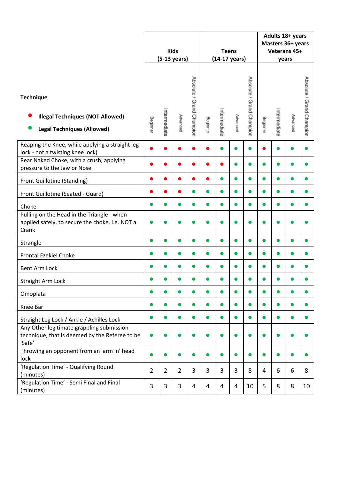|                                                                                                        | <b>Kids</b><br>$(5-13 \text{ years})$ |                |                |                           | <b>Teens</b> | (14-17 years) |          | Adults 18+ years<br>Masters 36+ years<br>Veterans 45+<br>years |          |              |          |                           |
|--------------------------------------------------------------------------------------------------------|---------------------------------------|----------------|----------------|---------------------------|--------------|---------------|----------|----------------------------------------------------------------|----------|--------------|----------|---------------------------|
| <b>Technique</b><br><b>Illegal Techniques (NOT Allowed)</b><br><b>Legal Techniques (Allowed)</b>       | Beginner                              | Intermediate   | Advanced       | Absolute / Grand Champion | Beginner     | Intermediate  | Advanced | Absolute / Grand Champion                                      | Beginner | Intermediate | Advanced | Absolute / Grand Champion |
| Reaping the Knee, while applying a straight leg<br>lock - not a twisting knee lock)                    |                                       |                |                |                           |              | ●             |          |                                                                |          |              |          |                           |
| Rear Naked Choke, with a crush, applying<br>pressure to the Jaw or Nose                                |                                       |                |                |                           |              |               |          |                                                                |          |              |          |                           |
| Front Guillotine (Standing)                                                                            |                                       |                |                |                           |              |               |          |                                                                |          |              |          |                           |
| Front Guillotine (Seated - Guard)                                                                      |                                       |                |                | $\bullet$                 | $\bullet$    | $\bullet$     |          |                                                                | ●        |              |          |                           |
| Choke                                                                                                  |                                       |                |                | $\bullet$                 | $\bullet$    | $\bullet$     |          |                                                                |          |              |          |                           |
| Pulling on the Head in the Triangle - when<br>applied safely, to secure the choke. i.e. NOT a<br>Crank |                                       |                |                |                           |              |               |          |                                                                |          |              |          |                           |
| Strangle                                                                                               |                                       |                |                | ●                         |              | $\bullet$     |          |                                                                |          |              |          |                           |
| <b>Frontal Ezekiel Choke</b>                                                                           |                                       |                |                | ●                         | n            | ●             |          |                                                                |          |              |          |                           |
| <b>Bent Arm Lock</b>                                                                                   |                                       |                |                | $\bullet$                 | $\bullet$    | $\bullet$     |          |                                                                | n        |              |          |                           |
| <b>Straight Arm Lock</b>                                                                               |                                       |                |                |                           |              |               |          |                                                                |          |              |          |                           |
| Omoplata                                                                                               |                                       |                |                |                           |              |               |          |                                                                |          |              |          |                           |
| Knee Bar                                                                                               |                                       |                |                | ●                         | n            | ●             |          |                                                                |          |              |          |                           |
| Straight Leg Lock / Ankle / Achilles Lock                                                              |                                       |                | $\bullet$      | $\bullet$                 | $\bullet$    | $\bullet$     |          | $\bullet$                                                      | ●        |              | o        |                           |
| Any Other legitimate grappling submission<br>technique, that is deemed by the Referee to be<br>'Safe'  |                                       |                |                |                           |              |               |          |                                                                |          |              |          |                           |
| Throwing an opponent from an 'arm in' head<br>lock                                                     |                                       |                |                | $\bullet$                 | ●            | $\bullet$     |          |                                                                |          |              |          |                           |
| 'Regulation Time' - Qualifying Round<br>(minutes)                                                      | $\overline{2}$                        | $\overline{2}$ | $\overline{2}$ | 3                         | 3            | 3             | 3        | 8                                                              | 4        | 6            | 6        | 8                         |
| 'Regulation Time' - Semi Final and Final<br>(minutes)                                                  | 3                                     | 3              | 3              | $\overline{4}$            | 4            | 4             | 4        | 10                                                             | 5        | 8            | 8        | 10                        |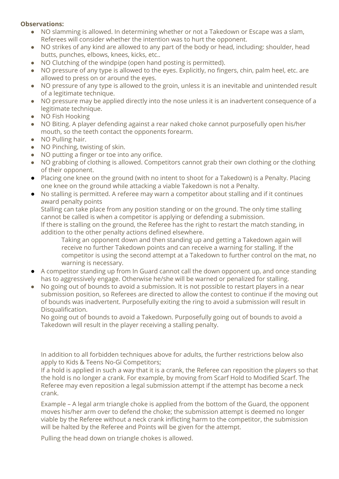#### **Observations:**

- NO slamming is allowed. In determining whether or not a Takedown or Escape was a slam, Referees will consider whether the intention was to hurt the opponent.
- NO strikes of any kind are allowed to any part of the body or head, including: shoulder, head butts, punches, elbows, knees, kicks, etc..
- NO Clutching of the windpipe (open hand posting is permitted).
- NO pressure of any type is allowed to the eyes. Explicitly, no fingers, chin, palm heel, etc. are allowed to press on or around the eyes.
- NO pressure of any type is allowed to the groin, unless it is an inevitable and unintended result of a legitimate technique.
- NO pressure may be applied directly into the nose unless it is an inadvertent consequence of a legitimate technique.
- NO Fish Hooking
- NO Biting. A player defending against a rear naked choke cannot purposefully open his/her mouth, so the teeth contact the opponents forearm.
- NO Pulling hair.
- NO Pinching, twisting of skin.
- NO putting a finger or toe into any orifice.
- NO grabbing of clothing is allowed. Competitors cannot grab their own clothing or the clothing of their opponent.
- Placing one knee on the ground (with no intent to shoot for a Takedown) is a Penalty. Placing one knee on the ground while attacking a viable Takedown is not a Penalty.
- No stalling is permitted. A referee may warn a competitor about stalling and if it continues award penalty points

Stalling can take place from any position standing or on the ground. The only time stalling cannot be called is when a competitor is applying or defending a submission.

If there is stalling on the ground, the Referee has the right to restart the match standing, in addition to the other penalty actions defined elsewhere.

Taking an opponent down and then standing up and getting a Takedown again will receive no further Takedown points and can receive a warning for stalling. If the competitor is using the second attempt at a Takedown to further control on the mat, no warning is necessary.

- A competitor standing up from In Guard cannot call the down opponent up, and once standing has to aggressively engage. Otherwise he/she will be warned or penalized for stalling.
- No going out of bounds to avoid a submission. It is not possible to restart players in a near submission position, so Referees are directed to allow the contest to continue if the moving out of bounds was inadvertent. Purposefully exiting the ring to avoid a submission will result in Disqualification.

No going out of bounds to avoid a Takedown. Purposefully going out of bounds to avoid a Takedown will result in the player receiving a stalling penalty.

In addition to all forbidden techniques above for adults, the further restrictions below also apply to Kids & Teens No-Gi Competitors;

If a hold is applied in such a way that it is a crank, the Referee can reposition the players so that the hold is no longer a crank. For example, by moving from Scarf Hold to Modified Scarf. The Referee may even reposition a legal submission attempt if the attempt has become a neck crank.

Example – A legal arm triangle choke is applied from the bottom of the Guard, the opponent moves his/her arm over to defend the choke; the submission attempt is deemed no longer viable by the Referee without a neck crank inflicting harm to the competitor, the submission will be halted by the Referee and Points will be given for the attempt.

Pulling the head down on triangle chokes is allowed.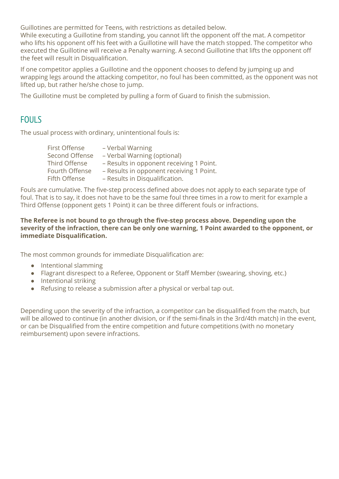Guillotines are permitted for Teens, with restrictions as detailed below.

While executing a Guillotine from standing, you cannot lift the opponent off the mat. A competitor who lifts his opponent off his feet with a Guillotine will have the match stopped. The competitor who executed the Guillotine will receive a Penalty warning. A second Guillotine that lifts the opponent off the feet will result in Disqualification.

If one competitor applies a Guillotine and the opponent chooses to defend by jumping up and wrapping legs around the attacking competitor, no foul has been committed, as the opponent was not lifted up, but rather he/she chose to jump.

The Guillotine must be completed by pulling a form of Guard to finish the submission.

## **FOULS**

The usual process with ordinary, unintentional fouls is:

| First Offense         | - Verbal Warning                         |
|-----------------------|------------------------------------------|
| <b>Second Offense</b> | - Verbal Warning (optional)              |
| Third Offense         | - Results in opponent receiving 1 Point. |
| Fourth Offense        | - Results in opponent receiving 1 Point. |
| Fifth Offense         | - Results in Disqualification.           |

Fouls are cumulative. The five-step process defined above does not apply to each separate type of foul. That is to say, it does not have to be the same foul three times in a row to merit for example a Third Offense (opponent gets 1 Point) it can be three different fouls or infractions.

#### **The Referee is not bound to go through the five-step process above. Depending upon the severity of the infraction, there can be only one warning, 1 Point awarded to the opponent, or immediate Disqualification.**

The most common grounds for immediate Disqualification are:

- Intentional slamming
- Flagrant disrespect to a Referee, Opponent or Staff Member (swearing, shoving, etc.)
- Intentional striking
- Refusing to release a submission after a physical or verbal tap out.

Depending upon the severity of the infraction, a competitor can be disqualified from the match, but will be allowed to continue (in another division, or if the semi-finals in the 3rd/4th match) in the event, or can be Disqualified from the entire competition and future competitions (with no monetary reimbursement) upon severe infractions.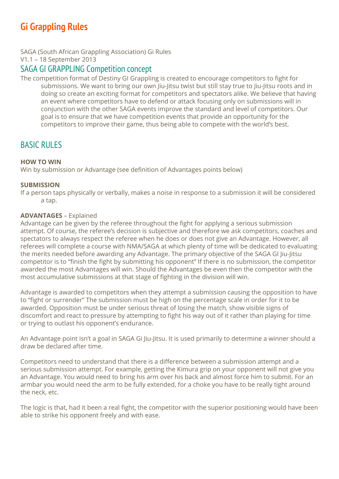# **Gi Grappling Rules**

SAGA (South African Grappling Association) Gi Rules

V1.1 – 18 September 2013

### SAGA GI GRAPPLING Competition concept

The competition format of Destiny GI Grappling is created to encourage competitors to fight for submissions. We want to bring our own liu-litsu twist but still stay true to liu-litsu roots and in doing so create an exciting format for competitors and spectators alike. We believe that having an event where competitors have to defend or attack focusing only on submissions will in conjunction with the other SAGA events improve the standard and level of competitors. Our goal is to ensure that we have competition events that provide an opportunity for the competitors to improve their game, thus being able to compete with the world's best.

## **BASIC RULES**

#### **HOW TO WIN**

Win by submission or Advantage (see definition of Advantages points below)

#### **SUBMISSION**

If a person taps physically or verbally, makes a noise in response to a submission it will be considered a tap.

#### **ADVANTAGES** – Explained

Advantage can be given by the referee throughout the fight for applying a serious submission attempt. Of course, the referee's decision is subjective and therefore we ask competitors, coaches and spectators to always respect the referee when he does or does not give an Advantage. However, all referees will complete a course with NMA/SAGA at which plenty of time will be dedicated to evaluating the merits needed before awarding any Advantage. The primary objective of the SAGA GI Jiu-Jitsu competitor is to "finish the fight by submitting his opponent" If there is no submission, the competitor awarded the most Advantages will win. Should the Advantages be even then the competitor with the most accumulative submissions at that stage of fighting in the division will win.

Advantage is awarded to competitors when they attempt a submission causing the opposition to have to "fight or surrender" The submission must be high on the percentage scale in order for it to be awarded. Opposition must be under serious threat of losing the match, show visible signs of discomfort and react to pressure by attempting to fight his way out of it rather than playing for time or trying to outlast his opponent's endurance.

An Advantage point isn't a goal in SAGA Gi Jiu-Jitsu. It is used primarily to determine a winner should a draw be declared after time.

Competitors need to understand that there is a difference between a submission attempt and a serious submission attempt. For example, getting the Kimura grip on your opponent will not give you an Advantage. You would need to bring his arm over his back and almost force him to submit. For an armbar you would need the arm to be fully extended, for a choke you have to be really tight around the neck, etc.

The logic is that, had it been a real fight, the competitor with the superior positioning would have been able to strike his opponent freely and with ease.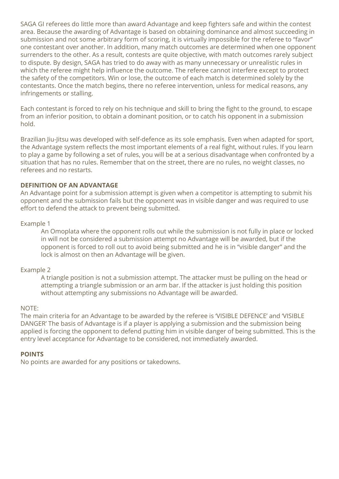SAGA GI referees do little more than award Advantage and keep fighters safe and within the contest area. Because the awarding of Advantage is based on obtaining dominance and almost succeeding in submission and not some arbitrary form of scoring, it is virtually impossible for the referee to "favor" one contestant over another. In addition, many match outcomes are determined when one opponent surrenders to the other. As a result, contests are quite objective, with match outcomes rarely subject to dispute. By design, SAGA has tried to do away with as many unnecessary or unrealistic rules in which the referee might help influence the outcome. The referee cannot interfere except to protect the safety of the competitors. Win or lose, the outcome of each match is determined solely by the contestants. Once the match begins, there no referee intervention, unless for medical reasons, any infringements or stalling.

Each contestant is forced to rely on his technique and skill to bring the fight to the ground, to escape from an inferior position, to obtain a dominant position, or to catch his opponent in a submission hold.

Brazilian Jiu-Jitsu was developed with self-defence as its sole emphasis. Even when adapted for sport, the Advantage system reflects the most important elements of a real fight, without rules. If you learn to play a game by following a set of rules, you will be at a serious disadvantage when confronted by a situation that has no rules. Remember that on the street, there are no rules, no weight classes, no referees and no restarts.

#### **DEFINITION OF AN ADVANTAGE**

An Advantage point for a submission attempt is given when a competitor is attempting to submit his opponent and the submission fails but the opponent was in visible danger and was required to use effort to defend the attack to prevent being submitted.

#### Example 1

An Omoplata where the opponent rolls out while the submission is not fully in place or locked in will not be considered a submission attempt no Advantage will be awarded, but if the opponent is forced to roll out to avoid being submitted and he is in "visible danger" and the lock is almost on then an Advantage will be given.

#### Example 2

A triangle position is not a submission attempt. The attacker must be pulling on the head or attempting a triangle submission or an arm bar. If the attacker is just holding this position without attempting any submissions no Advantage will be awarded.

#### NOTE:

The main criteria for an Advantage to be awarded by the referee is 'VISIBLE DEFENCE' and 'VISIBLE DANGER' The basis of Advantage is if a player is applying a submission and the submission being applied is forcing the opponent to defend putting him in visible danger of being submitted. This is the entry level acceptance for Advantage to be considered, not immediately awarded.

#### **POINTS**

No points are awarded for any positions or takedowns.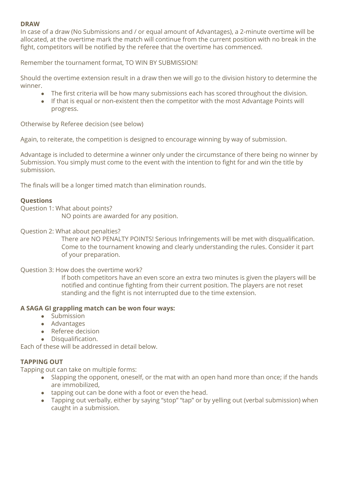#### **DRAW**

In case of a draw (No Submissions and / or equal amount of Advantages), a 2-minute overtime will be allocated, at the overtime mark the match will continue from the current position with no break in the fight, competitors will be notified by the referee that the overtime has commenced.

Remember the tournament format, TO WIN BY SUBMISSION!

Should the overtime extension result in a draw then we will go to the division history to determine the winner.

- The first criteria will be how many submissions each has scored throughout the division.
- If that is equal or non-existent then the competitor with the most Advantage Points will progress.

Otherwise by Referee decision (see below)

Again, to reiterate, the competition is designed to encourage winning by way of submission.

Advantage is included to determine a winner only under the circumstance of there being no winner by Submission. You simply must come to the event with the intention to fight for and win the title by submission.

The finals will be a longer timed match than elimination rounds.

#### **Questions**

Question 1: What about points?

NO points are awarded for any position.

#### Question 2: What about penalties?

There are NO PENALTY POINTS! Serious Infringements will be met with disqualification. Come to the tournament knowing and clearly understanding the rules. Consider it part of your preparation.

#### Question 3: How does the overtime work?

If both competitors have an even score an extra two minutes is given the players will be notified and continue fighting from their current position. The players are not reset standing and the fight is not interrupted due to the time extension.

#### **A SAGA GI grappling match can be won four ways:**

- Submission
- Advantages
- Referee decision
- Disqualification.

Each of these will be addressed in detail below.

#### **TAPPING OUT**

Tapping out can take on multiple forms:

- Slapping the opponent, oneself, or the mat with an open hand more than once; if the hands are immobilized,
- tapping out can be done with a foot or even the head.
- Tapping out verbally, either by saying "stop" "tap" or by yelling out (verbal submission) when caught in a submission.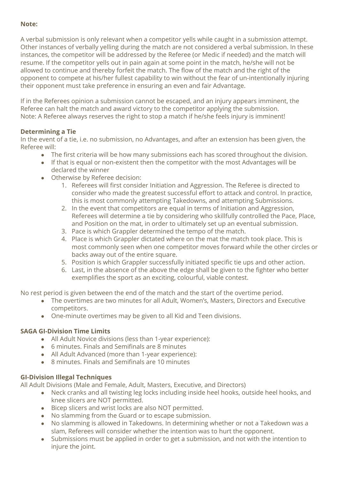#### **Note:**

A verbal submission is only relevant when a competitor yells while caught in a submission attempt. Other instances of verbally yelling during the match are not considered a verbal submission. In these instances, the competitor will be addressed by the Referee (or Medic if needed) and the match will resume. If the competitor yells out in pain again at some point in the match, he/she will not be allowed to continue and thereby forfeit the match. The flow of the match and the right of the opponent to compete at his/her fullest capability to win without the fear of un-intentionally injuring their opponent must take preference in ensuring an even and fair Advantage.

If in the Referees opinion a submission cannot be escaped, and an injury appears imminent, the Referee can halt the match and award victory to the competitor applying the submission. Note: A Referee always reserves the right to stop a match if he/she feels injury is imminent!

#### **Determining a Tie**

In the event of a tie, i.e. no submission, no Advantages, and after an extension has been given, the Referee will:

- The first criteria will be how many submissions each has scored throughout the division.
- If that is equal or non-existent then the competitor with the most Advantages will be declared the winner
- Otherwise by Referee decision:
	- 1. Referees will first consider Initiation and Aggression. The Referee is directed to consider who made the greatest successful effort to attack and control. In practice, this is most commonly attempting Takedowns, and attempting Submissions.
	- 2. In the event that competitors are equal in terms of Initiation and Aggression, Referees will determine a tie by considering who skillfully controlled the Pace, Place, and Position on the mat, in order to ultimately set up an eventual submission.
	- 3. Pace is which Grappler determined the tempo of the match.
	- 4. Place is which Grappler dictated where on the mat the match took place. This is most commonly seen when one competitor moves forward while the other circles or backs away out of the entire square.
	- 5. Position is which Grappler successfully initiated specific tie ups and other action.
	- 6. Last, in the absence of the above the edge shall be given to the fighter who better exemplifies the sport as an exciting, colourful, viable contest.

No rest period is given between the end of the match and the start of the overtime period.

- The overtimes are two minutes for all Adult, Women's, Masters, Directors and Executive competitors.
- One-minute overtimes may be given to all Kid and Teen divisions.

#### **SAGA GI-Division Time Limits**

- All Adult Novice divisions (less than 1-year experience):
- 6 minutes. Finals and Semifinals are 8 minutes
- All Adult Advanced (more than 1-year experience):
- 8 minutes. Finals and Semifinals are 10 minutes

#### **GI-Division Illegal Techniques**

All Adult Divisions (Male and Female, Adult, Masters, Executive, and Directors)

- Neck cranks and all twisting leg locks including inside heel hooks, outside heel hooks, and knee slicers are NOT permitted.
- Bicep slicers and wrist locks are also NOT permitted.
- No slamming from the Guard or to escape submission.
- No slamming is allowed in Takedowns. In determining whether or not a Takedown was a slam, Referees will consider whether the intention was to hurt the opponent.
- Submissions must be applied in order to get a submission, and not with the intention to injure the joint.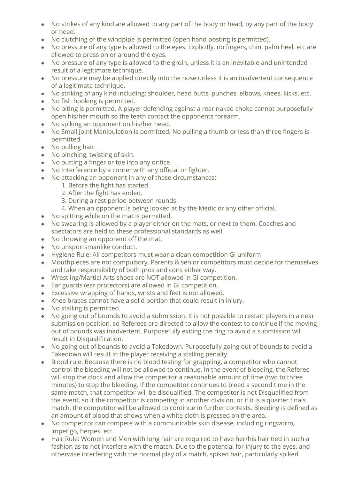- No strikes of any kind are allowed to any part of the body or head, by any part of the body or head.
- No clutching of the windpipe is permitted (open hand posting is permitted).
- No pressure of any type is allowed to the eyes. Explicitly, no fingers, chin, palm heel, etc are allowed to press on or around the eyes.
- No pressure of any type is allowed to the groin, unless it is an inevitable and unintended result of a legitimate technique.
- No pressure may be applied directly into the nose unless it is an inadvertent consequence of a legitimate technique.
- No striking of any kind including: shoulder, head butts, punches, elbows, knees, kicks, etc.
- No fish hooking is permitted.
- No biting is permitted. A player defending against a rear naked choke cannot purposefully open his/her mouth so the teeth contact the opponents forearm.
- No spiking an opponent on his/her head.
- No Small Joint Manipulation is permitted. No pulling a thumb or less than three fingers is permitted.
- No pulling hair.
- No pinching, twisting of skin.
- No putting a finger or toe into any orifice.
- No Interference by a corner with any official or fighter.
- No attacking an opponent in any of these circumstances:
	- 1. Before the fight has started.
	- 2. After the fight has ended.
	- 3. During a rest period between rounds.
	- 4. When an opponent is being looked at by the Medic or any other official.
- No spitting while on the mat is permitted.
- No swearing is allowed by a player either on the mats, or next to them. Coaches and spectators are held to these professional standards as well.
- No throwing an opponent off the mat.
- No unsportsmanlike conduct.
- Hygiene Rule: All competitors must wear a clean competition GI uniform
- Mouthpieces are not compulsory. Parents & senior competitors must decide for themselves and take responsibility of both pros and cons either way.
- Wrestling/Martial Arts shoes are NOT allowed in GI competition.
- Ear guards (ear protectors) are allowed in GI competition.
- Excessive wrapping of hands, wrists and feet is not allowed.
- Knee braces cannot have a solid portion that could result in injury.
- No stalling is permitted.
- No going out of bounds to avoid a submission. It is not possible to restart players in a near submission position, so Referees are directed to allow the contest to continue if the moving out of bounds was inadvertent. Purposefully exiting the ring to avoid a submission will result in Disqualification.
- No going out of bounds to avoid a Takedown. Purposefully going out of bounds to avoid a Takedown will result in the player receiving a stalling penalty.
- Blood rule. Because there is no blood testing for grappling, a competitor who cannot control the bleeding will not be allowed to continue. In the event of bleeding, the Referee will stop the clock and allow the competitor a reasonable amount of time (two to three minutes) to stop the bleeding. If the competitor continues to bleed a second time in the same match, that competitor will be disqualified. The competitor is not Disqualified from the event, so if the competitor is competing in another division, or if it is a quarter finals match, the competitor will be allowed to continue in further contests. Bleeding is defined as an amount of blood that shows when a white cloth is pressed on the area.
- No competitor can compete with a communicable skin disease, including ringworm, impetigo, herpes, etc.
- Hair Rule: Women and Men with long hair are required to have her/his hair tied in such a fashion as to not interfere with the match. Due to the potential for injury to the eyes, and otherwise interfering with the normal play of a match, spiked hair, particularly spiked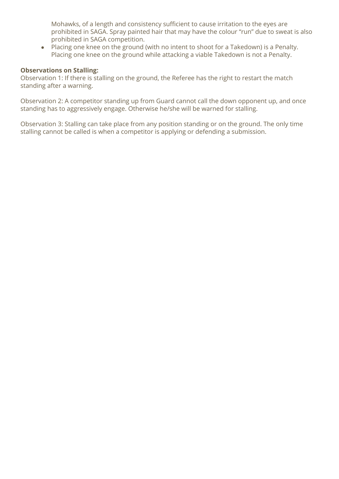Mohawks, of a length and consistency sufficient to cause irritation to the eyes are prohibited in SAGA. Spray painted hair that may have the colour "run" due to sweat is also prohibited in SAGA competition.

● Placing one knee on the ground (with no intent to shoot for a Takedown) is a Penalty. Placing one knee on the ground while attacking a viable Takedown is not a Penalty.

#### **Observations on Stalling:**

Observation 1: If there is stalling on the ground, the Referee has the right to restart the match standing after a warning.

Observation 2: A competitor standing up from Guard cannot call the down opponent up, and once standing has to aggressively engage. Otherwise he/she will be warned for stalling.

Observation 3: Stalling can take place from any position standing or on the ground. The only time stalling cannot be called is when a competitor is applying or defending a submission.